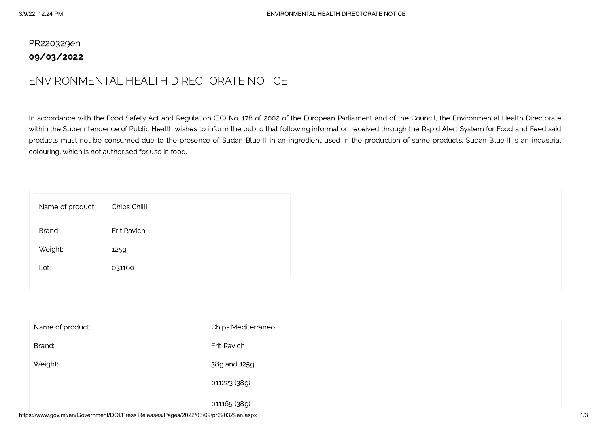## PR220329en 09/03/2022

## ENVIRONMENTAL HEALTH DIRECTORATE NOTICE

In accordance with the Food Safety Act and Regulation (EC) No. 178 of 2002 of the European Parliament and of the Council, the Environmental Health Directorate within the Superintendence of Public Health wishes to inform the public that following information received through the Rapid Alert System for Food and Feed said products must not be consumed due to the presence of Sudan Blue II in an ingredient used in the production of same products. Sudan Blue II is an industrial colouring, which is not authorised for use in food.

| Frit Ravich<br>125g | Name of product: | Chips Chilli |
|---------------------|------------------|--------------|
|                     | Brand:           |              |
|                     | Weight:          |              |
| 031160              | Lot:             |              |

| Name of product: | <b>Chips Mediterraneo</b> |
|------------------|---------------------------|
| Brand:           | Frit Ravich               |
| Weight:          | 38g and 125g              |
|                  | 011223 (38g)              |
|                  | 011165 (38g)              |

https://www.gov.mt/en/Government/DOI/Press Releases/Pages/2022/03/09/pr220329en.aspx 1/3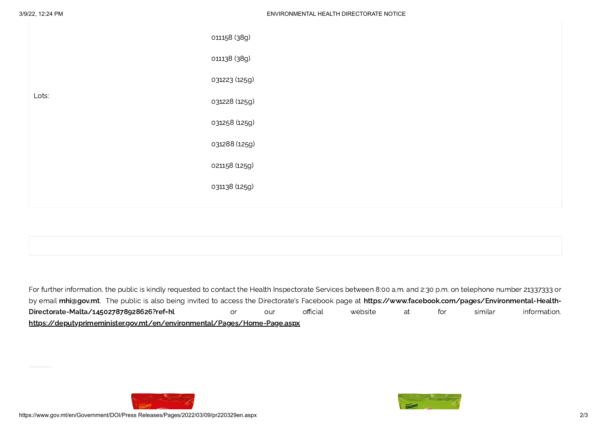|       | 011158 (38g)  |
|-------|---------------|
|       | 011138 (38g)  |
|       | 031223 (125g) |
| Lots: | 031228 (125g) |
|       | 031258 (125g) |
|       | 031288 (125g) |
|       | 021158 (125g) |
|       | 031138 (125g) |
|       |               |

For further information, the public is kindly requested to contact the Health Inspectorate Services between 8:00 a.m. and 2:30 p.m. on telephone number 21337333 or by email [mhi@gov.mt.](mailto:mhi@gov.mt) The public is also being invited to access the Directorate's Facebook page at [https://www.facebook.com/pages/Environmental-Health-](https://www.facebook.com/pages/Environmental-Health-Directorate-Malta/145027878928626?ref=hl)Directorate-Malta/145027878928626?ref=hl or our official website at for similar information. <https://deputyprimeminister.gov.mt/en/environmental/Pages/Home-Page.aspx>